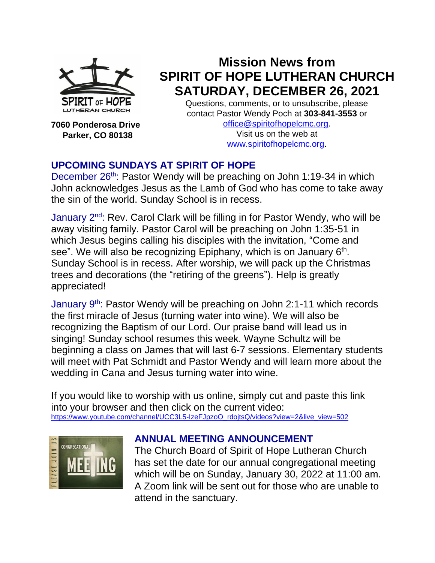

**7060 Ponderosa Drive Parker, CO 80138**

# **Mission News from SPIRIT OF HOPE LUTHERAN CHURCH SATURDAY, DECEMBER 26, 2021**

Questions, comments, or to unsubscribe, please contact Pastor Wendy Poch at **303-841-3553** or [office@spiritofhopelcmc.org.](mailto:office@spiritofhopelcmc.org)

Visit us on the web at [www.spiritofhopelcmc.org.](http://www.spiritofhopelcmc.org/)

# **UPCOMING SUNDAYS AT SPIRIT OF HOPE**

December 26<sup>th</sup>: Pastor Wendy will be preaching on John 1:19-34 in which John acknowledges Jesus as the Lamb of God who has come to take away the sin of the world. Sunday School is in recess.

January 2<sup>nd</sup>: Rev. Carol Clark will be filling in for Pastor Wendy, who will be away visiting family. Pastor Carol will be preaching on John 1:35-51 in which Jesus begins calling his disciples with the invitation, "Come and see". We will also be recognizing Epiphany, which is on January 6<sup>th</sup>. Sunday School is in recess. After worship, we will pack up the Christmas trees and decorations (the "retiring of the greens"). Help is greatly appreciated!

January 9<sup>th</sup>: Pastor Wendy will be preaching on John 2:1-11 which records the first miracle of Jesus (turning water into wine). We will also be recognizing the Baptism of our Lord. Our praise band will lead us in singing! Sunday school resumes this week. Wayne Schultz will be beginning a class on James that will last 6-7 sessions. Elementary students will meet with Pat Schmidt and Pastor Wendy and will learn more about the wedding in Cana and Jesus turning water into wine.

If you would like to worship with us online, simply cut and paste this link into your browser and then click on the current video: [https://www.youtube.com/channel/UCC3L5-IzeFJpzoO\\_rdojtsQ/videos?view=2&live\\_view=502](https://www.youtube.com/channel/UCC3L5-IzeFJpzoO_rdojtsQ/videos?view=2&live_view=502)



#### **ANNUAL MEETING ANNOUNCEMENT**

The Church Board of Spirit of Hope Lutheran Church has set the date for our annual congregational meeting which will be on Sunday, January 30, 2022 at 11:00 am. A Zoom link will be sent out for those who are unable to attend in the sanctuary.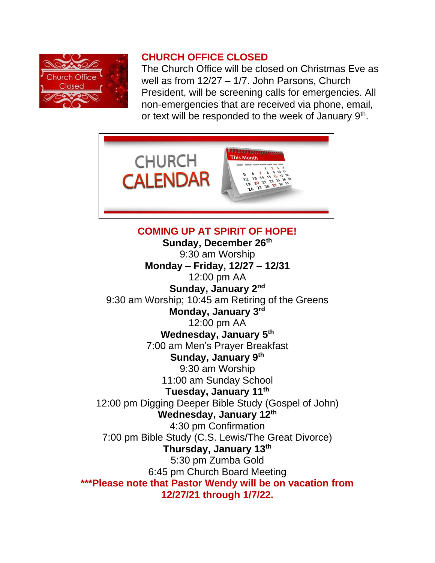

#### **CHURCH OFFICE CLOSED**

The Church Office will be closed on Christmas Eve as well as from 12/27 – 1/7. John Parsons, Church President, will be screening calls for emergencies. All non-emergencies that are received via phone, email, or text will be responded to the week of January 9<sup>th</sup>.



**COMING UP AT SPIRIT OF HOPE! Sunday, December 26th** 9:30 am Worship **Monday – Friday, 12/27 – 12/31** 12:00 pm AA **Sunday, January 2nd** 9:30 am Worship; 10:45 am Retiring of the Greens **Monday, January 3rd** 12:00 pm AA **Wednesday, January 5th** 7:00 am Men's Prayer Breakfast **Sunday, January 9th** 9:30 am Worship 11:00 am Sunday School **Tuesday, January 11 th** 12:00 pm Digging Deeper Bible Study (Gospel of John) **Wednesday, January 12th** 4:30 pm Confirmation 7:00 pm Bible Study (C.S. Lewis/The Great Divorce) **Thursday, January 13th** 5:30 pm Zumba Gold 6:45 pm Church Board Meeting **\*\*\*Please note that Pastor Wendy will be on vacation from 12/27/21 through 1/7/22.**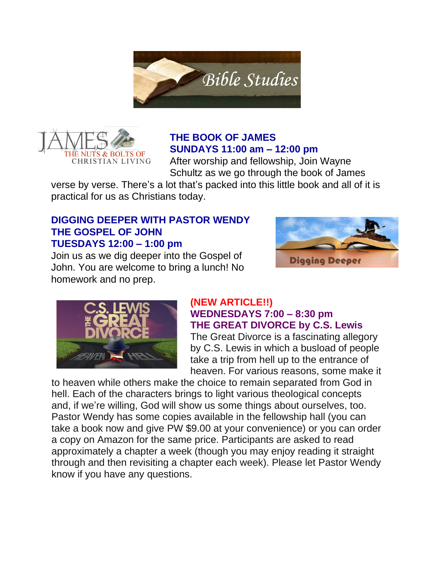



# **THE BOOK OF JAMES SUNDAYS 11:00 am – 12:00 pm**

After worship and fellowship, Join Wayne Schultz as we go through the book of James

verse by verse. There's a lot that's packed into this little book and all of it is practical for us as Christians today.

#### **DIGGING DEEPER WITH PASTOR WENDY THE GOSPEL OF JOHN TUESDAYS 12:00 – 1:00 pm**

Join us as we dig deeper into the Gospel of John. You are welcome to bring a lunch! No homework and no prep.





#### **(NEW ARTICLE!!) WEDNESDAYS 7:00 – 8:30 pm THE GREAT DIVORCE by C.S. Lewis**

The Great Divorce is a fascinating allegory by C.S. Lewis in which a busload of people take a trip from hell up to the entrance of heaven. For various reasons, some make it

to heaven while others make the choice to remain separated from God in hell. Each of the characters brings to light various theological concepts and, if we're willing, God will show us some things about ourselves, too. Pastor Wendy has some copies available in the fellowship hall (you can take a book now and give PW \$9.00 at your convenience) or you can order a copy on Amazon for the same price. Participants are asked to read approximately a chapter a week (though you may enjoy reading it straight through and then revisiting a chapter each week). Please let Pastor Wendy know if you have any questions.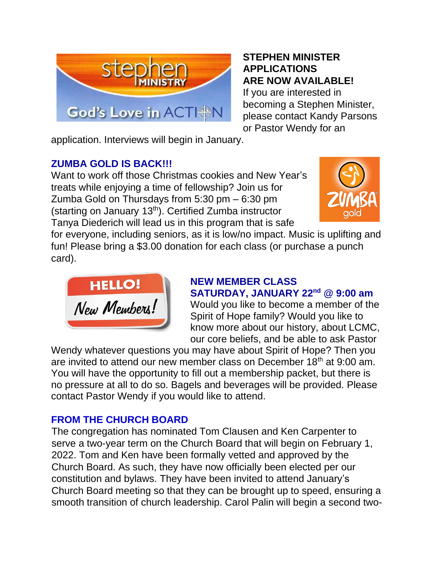

#### **STEPHEN MINISTER APPLICATIONS ARE NOW AVAILABLE!**

If you are interested in becoming a Stephen Minister, please contact Kandy Parsons or Pastor Wendy for an

application. Interviews will begin in January.

# **ZUMBA GOLD IS BACK!!!**

Want to work off those Christmas cookies and New Year's treats while enjoying a time of fellowship? Join us for Zumba Gold on Thursdays from 5:30 pm – 6:30 pm (starting on January  $13<sup>th</sup>$ ). Certified Zumba instructor Tanya Diederich will lead us in this program that is safe



for everyone, including seniors, as it is low/no impact. Music is uplifting and fun! Please bring a \$3.00 donation for each class (or purchase a punch card).



### **NEW MEMBER CLASS SATURDAY, JANUARY 22nd @ 9:00 am**

Would you like to become a member of the Spirit of Hope family? Would you like to know more about our history, about LCMC, our core beliefs, and be able to ask Pastor

Wendy whatever questions you may have about Spirit of Hope? Then you are invited to attend our new member class on December 18<sup>th</sup> at 9:00 am. You will have the opportunity to fill out a membership packet, but there is no pressure at all to do so. Bagels and beverages will be provided. Please contact Pastor Wendy if you would like to attend.

# **FROM THE CHURCH BOARD**

The congregation has nominated Tom Clausen and Ken Carpenter to serve a two-year term on the Church Board that will begin on February 1, 2022. Tom and Ken have been formally vetted and approved by the Church Board. As such, they have now officially been elected per our constitution and bylaws. They have been invited to attend January's Church Board meeting so that they can be brought up to speed, ensuring a smooth transition of church leadership. Carol Palin will begin a second two-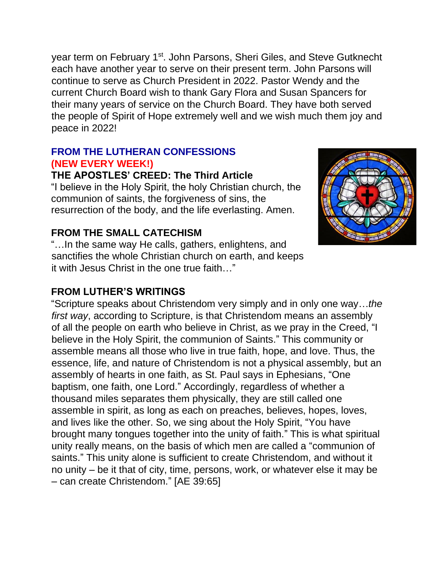year term on February 1<sup>st</sup>. John Parsons, Sheri Giles, and Steve Gutknecht each have another year to serve on their present term. John Parsons will continue to serve as Church President in 2022. Pastor Wendy and the current Church Board wish to thank Gary Flora and Susan Spancers for their many years of service on the Church Board. They have both served the people of Spirit of Hope extremely well and we wish much them joy and peace in 2022!

## **FROM THE LUTHERAN CONFESSIONS (NEW EVERY WEEK!)**

#### **THE APOSTLES' CREED: The Third Article**

"I believe in the Holy Spirit, the holy Christian church, the communion of saints, the forgiveness of sins, the resurrection of the body, and the life everlasting. Amen.



#### **FROM THE SMALL CATECHISM**

"…In the same way He calls, gathers, enlightens, and sanctifies the whole Christian church on earth, and keeps it with Jesus Christ in the one true faith…"

#### **FROM LUTHER'S WRITINGS**

"Scripture speaks about Christendom very simply and in only one way…*the first way*, according to Scripture, is that Christendom means an assembly of all the people on earth who believe in Christ, as we pray in the Creed, "I believe in the Holy Spirit, the communion of Saints." This community or assemble means all those who live in true faith, hope, and love. Thus, the essence, life, and nature of Christendom is not a physical assembly, but an assembly of hearts in one faith, as St. Paul says in Ephesians, "One baptism, one faith, one Lord." Accordingly, regardless of whether a thousand miles separates them physically, they are still called one assemble in spirit, as long as each on preaches, believes, hopes, loves, and lives like the other. So, we sing about the Holy Spirit, "You have brought many tongues together into the unity of faith." This is what spiritual unity really means, on the basis of which men are called a "communion of saints." This unity alone is sufficient to create Christendom, and without it no unity – be it that of city, time, persons, work, or whatever else it may be – can create Christendom." [AE 39:65]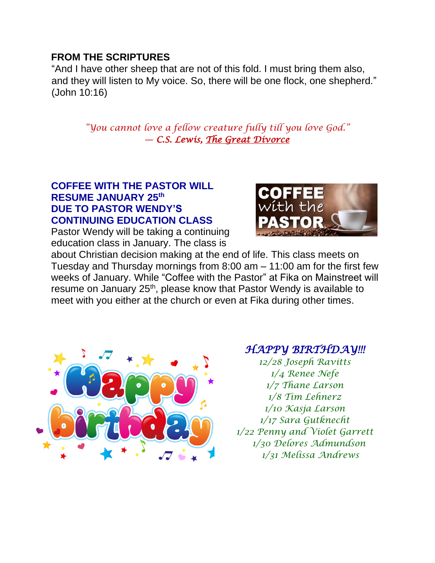#### **FROM THE SCRIPTURES**

"And I have other sheep that are not of this fold. I must bring them also, and they will listen to My voice. So, there will be one flock, one shepherd." (John 10:16)

> *"You cannot love a fellow creature fully till you love God."* ― *C.S. Lewis, [The Great Divorce](https://www.goodreads.com/work/quotes/1215780)*

#### **COFFEE WITH THE PASTOR WILL RESUME JANUARY 25th DUE TO PASTOR WENDY'S CONTINUING EDUCATION CLASS**

Pastor Wendy will be taking a continuing education class in January. The class is



about Christian decision making at the end of life. This class meets on Tuesday and Thursday mornings from 8:00 am – 11:00 am for the first few weeks of January. While "Coffee with the Pastor" at Fika on Mainstreet will resume on January 25<sup>th</sup>, please know that Pastor Wendy is available to meet with you either at the church or even at Fika during other times.



# *HAPPY BIRTHDAY!!!*

*12/28 Joseph Ravitts 1/4 Renee Nefe 1/7 Thane Larson 1/8 Tim Lehnerz 1/10 Kasja Larson 1/17 Sara Gutknecht 1/22 Penny and Violet Garrett 1/30 Delores Admundson 1/31 Melissa Andrews*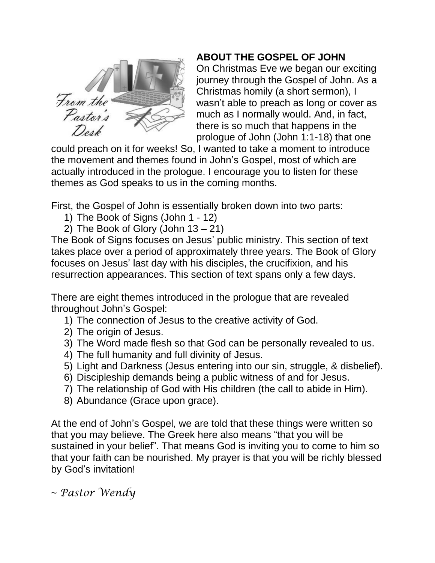

# **ABOUT THE GOSPEL OF JOHN**

On Christmas Eve we began our exciting journey through the Gospel of John. As a Christmas homily (a short sermon), I wasn't able to preach as long or cover as much as I normally would. And, in fact, there is so much that happens in the prologue of John (John 1:1-18) that one

could preach on it for weeks! So, I wanted to take a moment to introduce the movement and themes found in John's Gospel, most of which are actually introduced in the prologue. I encourage you to listen for these themes as God speaks to us in the coming months.

First, the Gospel of John is essentially broken down into two parts:

- 1) The Book of Signs (John 1 12)
- 2) The Book of Glory (John  $13 21$ )

The Book of Signs focuses on Jesus' public ministry. This section of text takes place over a period of approximately three years. The Book of Glory focuses on Jesus' last day with his disciples, the crucifixion, and his resurrection appearances. This section of text spans only a few days.

There are eight themes introduced in the prologue that are revealed throughout John's Gospel:

- 1) The connection of Jesus to the creative activity of God.
- 2) The origin of Jesus.
- 3) The Word made flesh so that God can be personally revealed to us.
- 4) The full humanity and full divinity of Jesus.
- 5) Light and Darkness (Jesus entering into our sin, struggle, & disbelief).
- 6) Discipleship demands being a public witness of and for Jesus.
- 7) The relationship of God with His children (the call to abide in Him).
- 8) Abundance (Grace upon grace).

At the end of John's Gospel, we are told that these things were written so that you may believe. The Greek here also means "that you will be sustained in your belief". That means God is inviting you to come to him so that your faith can be nourished. My prayer is that you will be richly blessed by God's invitation!

~ *Pastor Wendy*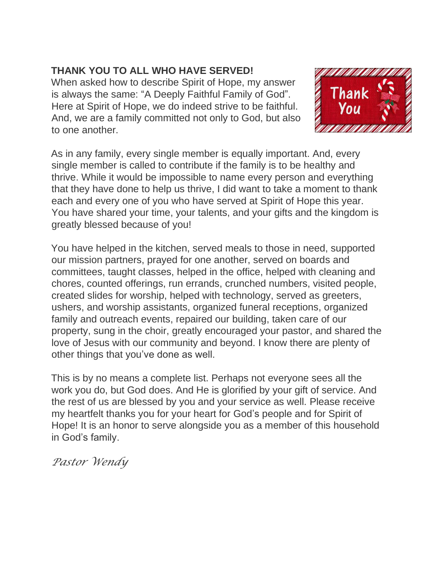## **THANK YOU TO ALL WHO HAVE SERVED!**

When asked how to describe Spirit of Hope, my answer is always the same: "A Deeply Faithful Family of God". Here at Spirit of Hope, we do indeed strive to be faithful. And, we are a family committed not only to God, but also to one another.



As in any family, every single member is equally important. And, every single member is called to contribute if the family is to be healthy and thrive. While it would be impossible to name every person and everything that they have done to help us thrive, I did want to take a moment to thank each and every one of you who have served at Spirit of Hope this year. You have shared your time, your talents, and your gifts and the kingdom is greatly blessed because of you!

You have helped in the kitchen, served meals to those in need, supported our mission partners, prayed for one another, served on boards and committees, taught classes, helped in the office, helped with cleaning and chores, counted offerings, run errands, crunched numbers, visited people, created slides for worship, helped with technology, served as greeters, ushers, and worship assistants, organized funeral receptions, organized family and outreach events, repaired our building, taken care of our property, sung in the choir, greatly encouraged your pastor, and shared the love of Jesus with our community and beyond. I know there are plenty of other things that you've done as well.

This is by no means a complete list. Perhaps not everyone sees all the work you do, but God does. And He is glorified by your gift of service. And the rest of us are blessed by you and your service as well. Please receive my heartfelt thanks you for your heart for God's people and for Spirit of Hope! It is an honor to serve alongside you as a member of this household in God's family.

*Pastor Wendy*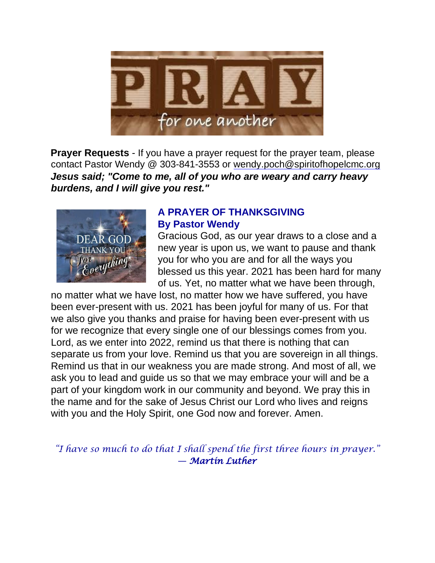

**Prayer Requests** - If you have a prayer request for the prayer team, please contact Pastor Wendy @ 303-841-3553 or wendy.poch@spiritofhopelcmc.org *Jesus said; "Come to me, all of you who are weary and carry heavy burdens, and I will give you rest."*



#### **A PRAYER OF THANKSGIVING By Pastor Wendy**

Gracious God, as our year draws to a close and a new year is upon us, we want to pause and thank you for who you are and for all the ways you blessed us this year. 2021 has been hard for many of us. Yet, no matter what we have been through,

no matter what we have lost, no matter how we have suffered, you have been ever-present with us. 2021 has been joyful for many of us. For that we also give you thanks and praise for having been ever-present with us for we recognize that every single one of our blessings comes from you. Lord, as we enter into 2022, remind us that there is nothing that can separate us from your love. Remind us that you are sovereign in all things. Remind us that in our weakness you are made strong. And most of all, we ask you to lead and guide us so that we may embrace your will and be a part of your kingdom work in our community and beyond. We pray this in the name and for the sake of Jesus Christ our Lord who lives and reigns with you and the Holy Spirit, one God now and forever. Amen.

*"I have so much to do that I shall spend the first three hours in prayer."* ― *Martin Luther*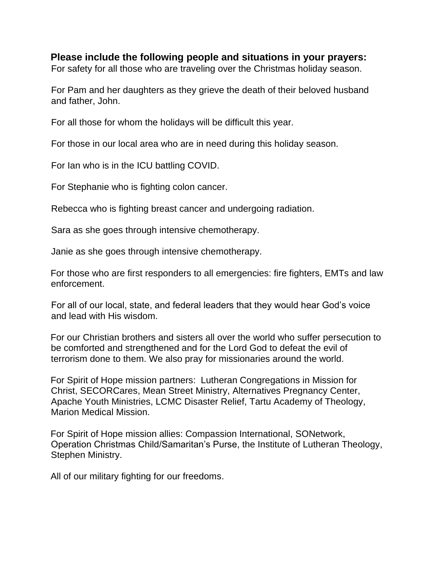#### **Please include the following people and situations in your prayers:**

For safety for all those who are traveling over the Christmas holiday season.

For Pam and her daughters as they grieve the death of their beloved husband and father, John.

For all those for whom the holidays will be difficult this year.

For those in our local area who are in need during this holiday season.

For Ian who is in the ICU battling COVID.

For Stephanie who is fighting colon cancer.

Rebecca who is fighting breast cancer and undergoing radiation.

Sara as she goes through intensive chemotherapy.

Janie as she goes through intensive chemotherapy.

For those who are first responders to all emergencies: fire fighters, EMTs and law enforcement.

For all of our local, state, and federal leaders that they would hear God's voice and lead with His wisdom.

For our Christian brothers and sisters all over the world who suffer persecution to be comforted and strengthened and for the Lord God to defeat the evil of terrorism done to them. We also pray for missionaries around the world.

For Spirit of Hope mission partners: Lutheran Congregations in Mission for Christ, SECORCares, Mean Street Ministry, Alternatives Pregnancy Center, Apache Youth Ministries, LCMC Disaster Relief, Tartu Academy of Theology, Marion Medical Mission.

For Spirit of Hope mission allies: Compassion International, SONetwork, Operation Christmas Child/Samaritan's Purse, the Institute of Lutheran Theology, Stephen Ministry.

All of our military fighting for our freedoms.